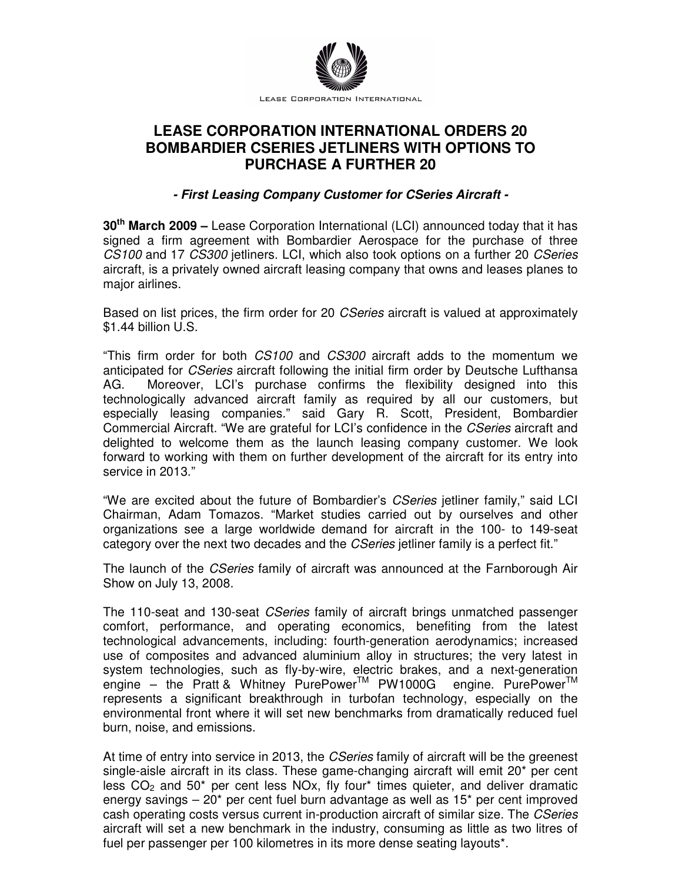

# **LEASE CORPORATION INTERNATIONAL ORDERS 20 BOMBARDIER CSERIES JETLINERS WITH OPTIONS TO PURCHASE A FURTHER 20**

## **- First Leasing Company Customer for CSeries Aircraft -**

**30th March 2009 –** Lease Corporation International (LCI) announced today that it has signed a firm agreement with Bombardier Aerospace for the purchase of three CS100 and 17 CS300 jetliners. LCI, which also took options on a further 20 CSeries aircraft, is a privately owned aircraft leasing company that owns and leases planes to major airlines.

Based on list prices, the firm order for 20 CSeries aircraft is valued at approximately \$1.44 billion U.S.

"This firm order for both CS100 and CS300 aircraft adds to the momentum we anticipated for CSeries aircraft following the initial firm order by Deutsche Lufthansa AG. Moreover, LCI's purchase confirms the flexibility designed into this technologically advanced aircraft family as required by all our customers, but especially leasing companies." said Gary R. Scott, President, Bombardier Commercial Aircraft. "We are grateful for LCI's confidence in the CSeries aircraft and delighted to welcome them as the launch leasing company customer. We look forward to working with them on further development of the aircraft for its entry into service in 2013."

"We are excited about the future of Bombardier's CSeries jetliner family," said LCI Chairman, Adam Tomazos. "Market studies carried out by ourselves and other organizations see a large worldwide demand for aircraft in the 100- to 149-seat category over the next two decades and the *CSeries* jetliner family is a perfect fit."

The launch of the CSeries family of aircraft was announced at the Farnborough Air Show on July 13, 2008.

The 110-seat and 130-seat *CSeries* family of aircraft brings unmatched passenger comfort, performance, and operating economics, benefiting from the latest technological advancements, including: fourth-generation aerodynamics; increased use of composites and advanced aluminium alloy in structures; the very latest in system technologies, such as fly-by-wire, electric brakes, and a next-generation engine – the Pratt & Whitney PurePower<sup>TM</sup> PW1000G engine. PurePower<sup>TM</sup> represents a significant breakthrough in turbofan technology, especially on the environmental front where it will set new benchmarks from dramatically reduced fuel burn, noise, and emissions.

At time of entry into service in 2013, the *CSeries* family of aircraft will be the greenest single-aisle aircraft in its class. These game-changing aircraft will emit 20\* per cent less  $CO<sub>2</sub>$  and  $50<sup>*</sup>$  per cent less NOx, fly four<sup>\*</sup> times quieter, and deliver dramatic energy savings – 20\* per cent fuel burn advantage as well as 15\* per cent improved cash operating costs versus current in-production aircraft of similar size. The CSeries aircraft will set a new benchmark in the industry, consuming as little as two litres of fuel per passenger per 100 kilometres in its more dense seating layouts\*.